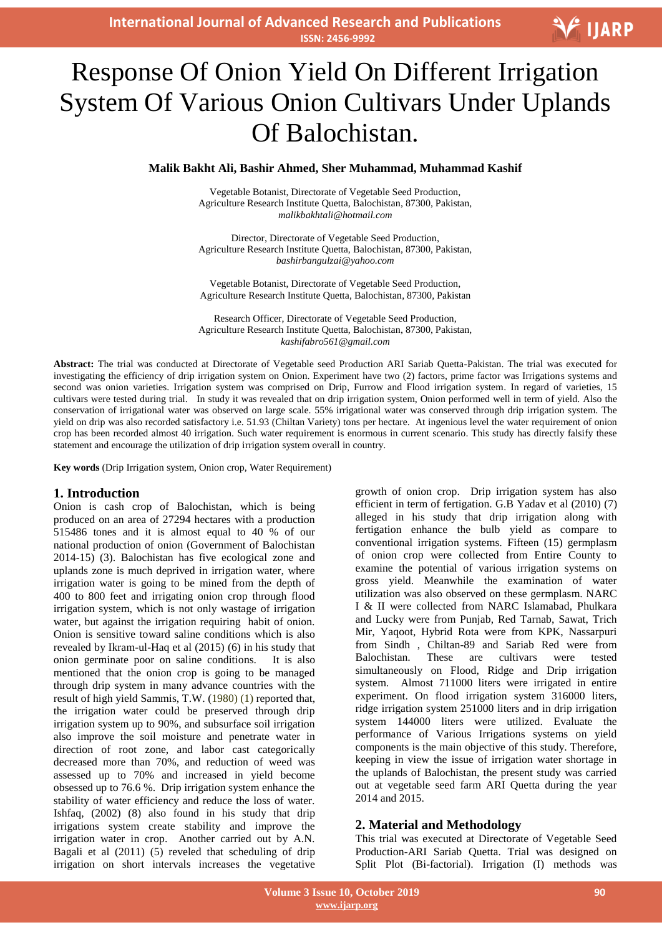**International Journal of Advanced Research and Publications ISSN: 2456-9992**

# V IJARP

# J Response Of Onion Yield On Different Irrigation System Of Various Onion Cultivars Under Uplands Of Balochistan.

#### **Malik Bakht Ali, Bashir Ahmed, Sher Muhammad, Muhammad Kashif**

Vegetable Botanist, Directorate of Vegetable Seed Production, Agriculture Research Institute Quetta, Balochistan, 87300, Pakistan, *malikbakhtali@hotmail.com*

Director, Directorate of Vegetable Seed Production, Agriculture Research Institute Quetta, Balochistan, 87300, Pakistan, *bashirbangulzai@yahoo.com*

Vegetable Botanist, Directorate of Vegetable Seed Production, Agriculture Research Institute Quetta, Balochistan, 87300, Pakistan

Research Officer, Directorate of Vegetable Seed Production, Agriculture Research Institute Quetta, Balochistan, 87300, Pakistan, *kashifabro561@gmail.com*

**Abstract:** The trial was conducted at Directorate of Vegetable seed Production ARI Sariab Quetta-Pakistan. The trial was executed for investigating the efficiency of drip irrigation system on Onion. Experiment have two (2) factors, prime factor was Irrigations systems and second was onion varieties. Irrigation system was comprised on Drip, Furrow and Flood irrigation system. In regard of varieties, 15 cultivars were tested during trial. In study it was revealed that on drip irrigation system, Onion performed well in term of yield. Also the conservation of irrigational water was observed on large scale. 55% irrigational water was conserved through drip irrigation system. The yield on drip was also recorded satisfactory i.e. 51.93 (Chiltan Variety) tons per hectare. At ingenious level the water requirement of onion crop has been recorded almost 40 irrigation. Such water requirement is enormous in current scenario. This study has directly falsify these statement and encourage the utilization of drip irrigation system overall in country.

**Key words** (Drip Irrigation system, Onion crop, Water Requirement)

#### **1. Introduction**

Onion is cash crop of Balochistan, which is being produced on an area of 27294 hectares with a production 515486 tones and it is almost equal to 40 % of our national production of onion (Government of Balochistan 2014-15) (3). Balochistan has five ecological zone and uplands zone is much deprived in irrigation water, where irrigation water is going to be mined from the depth of 400 to 800 feet and irrigating onion crop through flood irrigation system, which is not only wastage of irrigation water, but against the irrigation requiring habit of onion. Onion is sensitive toward saline conditions which is also revealed by Ikram-ul-Haq et al (2015) (6) in his study that onion germinate poor on saline conditions. It is also mentioned that the onion crop is going to be managed through drip system in many advance countries with the result of high yield Sammis, T.W. (1980) (1) reported that, the irrigation water could be preserved through drip irrigation system up to 90%, and subsurface soil irrigation also improve the soil moisture and penetrate water in direction of root zone, and labor cast categorically decreased more than 70%, and reduction of weed was assessed up to 70% and increased in yield become obsessed up to 76.6 %. Drip irrigation system enhance the stability of water efficiency and reduce the loss of water. Ishfaq, (2002) (8) also found in his study that drip irrigations system create stability and improve the irrigation water in crop. Another carried out by A.N. Bagali et al (2011) (5) reveled that scheduling of drip irrigation on short intervals increases the vegetative

growth of onion crop. Drip irrigation system has also efficient in term of fertigation. G.B Yadav et al (2010) (7) alleged in his study that drip irrigation along with fertigation enhance the bulb yield as compare to conventional irrigation systems. Fifteen (15) germplasm of onion crop were collected from Entire County to examine the potential of various irrigation systems on gross yield. Meanwhile the examination of water utilization was also observed on these germplasm. NARC I & II were collected from NARC Islamabad, Phulkara and Lucky were from Punjab, Red Tarnab, Sawat, Trich Mir, Yaqoot, Hybrid Rota were from KPK, Nassarpuri from Sindh , Chiltan-89 and Sariab Red were from Balochistan. These are cultivars were tested simultaneously on Flood, Ridge and Drip irrigation system. Almost 711000 liters were irrigated in entire experiment. On flood irrigation system 316000 liters, ridge irrigation system 251000 liters and in drip irrigation system 144000 liters were utilized. Evaluate the performance of Various Irrigations systems on yield components is the main objective of this study. Therefore, keeping in view the issue of irrigation water shortage in the uplands of Balochistan, the present study was carried out at vegetable seed farm ARI Quetta during the year 2014 and 2015.

## **2. Material and Methodology**

This trial was executed at Directorate of Vegetable Seed Production-ARI Sariab Quetta. Trial was designed on Split Plot (Bi-factorial). Irrigation (I) methods was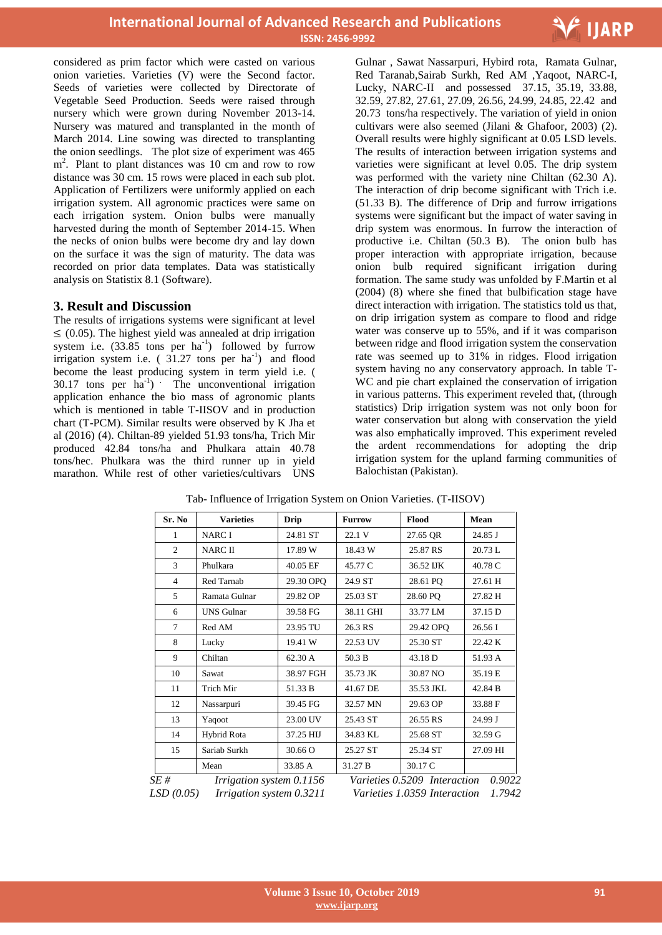

considered as prim factor which were casted on various onion varieties. Varieties (V) were the Second factor. Seeds of varieties were collected by Directorate of Vegetable Seed Production. Seeds were raised through nursery which were grown during November 2013-14. Nursery was matured and transplanted in the month of March 2014. Line sowing was directed to transplanting the onion seedlings. The plot size of experiment was 465 m<sup>2</sup>. Plant to plant distances was 10 cm and row to row distance was 30 cm. 15 rows were placed in each sub plot. Application of Fertilizers were uniformly applied on each irrigation system. All agronomic practices were same on each irrigation system. Onion bulbs were manually harvested during the month of September 2014-15. When the necks of onion bulbs were become dry and lay down on the surface it was the sign of maturity. The data was recorded on prior data templates. Data was statistically analysis on Statistix 8.1 (Software).

### **3. Result and Discussion**

The results of irrigations systems were significant at level  $\leq$  (0.05). The highest yield was annealed at drip irrigation system i.e.  $(33.85 \text{ tons per ha}^{-1})$  followed by furrow irrigation system i.e.  $(31.27 \text{ tons per ha}^{-1})$  and flood become the least producing system in term yield i.e. (  $30.17$  tons per  $ha^{-1}$ ) The unconventional irrigation application enhance the bio mass of agronomic plants which is mentioned in table T-IISOV and in production chart (T-PCM). Similar results were observed by K Jha et al (2016) (4). Chiltan-89 yielded 51.93 tons/ha, Trich Mir produced 42.84 tons/ha and Phulkara attain 40.78 tons/hec. Phulkara was the third runner up in yield marathon. While rest of other varieties/cultivars UNS

 Gulnar , Sawat Nassarpuri, Hybird rota, Ramata Gulnar, Red Taranab,Sairab Surkh, Red AM ,Yaqoot, NARC-I, Lucky, NARC-II and possessed 37.15, 35.19, 33.88, 32.59, 27.82, 27.61, 27.09, 26.56, 24.99, 24.85, 22.42 and 20.73 tons/ha respectively. The variation of yield in onion cultivars were also seemed (Jilani & Ghafoor, 2003) (2). Overall results were highly significant at 0.05 LSD levels. The results of interaction between irrigation systems and varieties were significant at level 0.05. The drip system was performed with the variety nine Chiltan (62.30 A). The interaction of drip become significant with Trich i.e. (51.33 B). The difference of Drip and furrow irrigations systems were significant but the impact of water saving in drip system was enormous. In furrow the interaction of productive i.e. Chiltan (50.3 B). The onion bulb has proper interaction with appropriate irrigation, because onion bulb required significant irrigation during formation. The same study was unfolded by F.Martin et al (2004) (8) where she fined that bulbification stage have direct interaction with irrigation. The statistics told us that, on drip irrigation system as compare to flood and ridge water was conserve up to 55%, and if it was comparison between ridge and flood irrigation system the conservation rate was seemed up to 31% in ridges. Flood irrigation system having no any conservatory approach. In table T-WC and pie chart explained the conservation of irrigation in various patterns. This experiment reveled that, (through statistics) Drip irrigation system was not only boon for water conservation but along with conservation the yield was also emphatically improved. This experiment reveled the ardent recommendations for adopting the drip irrigation system for the upland farming communities of Balochistan (Pakistan).

| Sr. No                                                                   | <b>Varieties</b>  | <b>Drip</b> | <b>Furrow</b>                                                                    | Flood     | Mean     |
|--------------------------------------------------------------------------|-------------------|-------------|----------------------------------------------------------------------------------|-----------|----------|
| 1                                                                        | <b>NARCI</b>      | 24.81 ST    | 22.1 V                                                                           | 27.65 QR  | 24.85 J  |
| $\overline{c}$                                                           | <b>NARC II</b>    | 17.89 W     | 18.43 W                                                                          | 25.87 RS  | 20.73 L  |
| $\mathcal{F}$                                                            | Phulkara          | 40.05 EF    | 45.77 C                                                                          | 36.52 IJK | 40.78 C  |
| $\overline{4}$                                                           | Red Tarnab        | 29.30 OPO   | 24.9 ST                                                                          | 28.61 PQ  | 27.61 H  |
| 5                                                                        | Ramata Gulnar     | 29.82 OP    | 25.03 ST                                                                         | 28.60 PQ  | 27.82 H  |
| 6                                                                        | <b>UNS</b> Gulnar | 39.58 FG    | 38.11 GHI                                                                        | 33.77 LM  | 37.15 D  |
| 7                                                                        | Red AM            | 23.95 TU    | 26.3 RS                                                                          | 29.42 OPQ | 26.56 I  |
| 8                                                                        | Lucky             | 19.41 W     | 22.53 UV                                                                         | 25.30 ST  | 22.42 K  |
| 9                                                                        | Chiltan           | 62.30 A     | 50.3 B                                                                           | 43.18 D   | 51.93 A  |
| 10                                                                       | Sawat             | 38.97 FGH   | 35.73 JK                                                                         | 30.87 NO  | 35.19 E  |
| 11                                                                       | Trich Mir         | 51.33 B     | 41.67 DE                                                                         | 35.53 JKL | 42.84 B  |
| 12                                                                       | Nassarpuri        | 39.45 FG    | 32.57 MN                                                                         | 29.63 OP  | 33.88 F  |
| 13                                                                       | Yaqoot            | 23.00 UV    | 25.43 ST                                                                         | 26.55 RS  | 24.99 J  |
| 14                                                                       | Hybrid Rota       | 37.25 HIJ   | 34.83 KL                                                                         | 25.68 ST  | 32.59 G  |
| 15                                                                       | Sariab Surkh      | 30.66 O     | 25.27 ST                                                                         | 25.34 ST  | 27.09 HI |
|                                                                          | Mean              | 33.85 A     | 31.27 B                                                                          | 30.17 C   |          |
| SE#<br>Irrigation system 0.1156<br>Irrigation system 0.3211<br>LSD(0.05) |                   |             | 0.9022<br>Varieties 0.5209 Interaction<br>1.7942<br>Varieties 1.0359 Interaction |           |          |

Tab- Influence of Irrigation System on Onion Varieties. (T-IISOV)